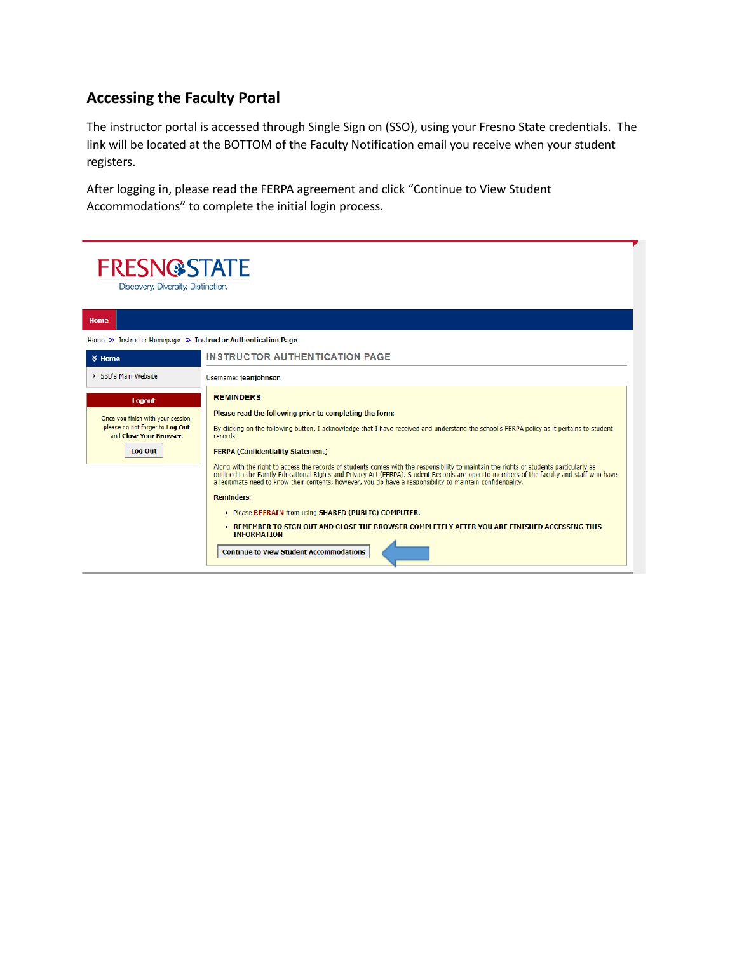## **Accessing the Faculty Portal**

The instructor portal is accessed through Single Sign on (SSO), using your Fresno State credentials. The link will be located at the BOTTOM of the Faculty Notification email you receive when your student registers.

After logging in, please read the FERPA agreement and click "Continue to View Student Accommodations" to complete the initial login process.